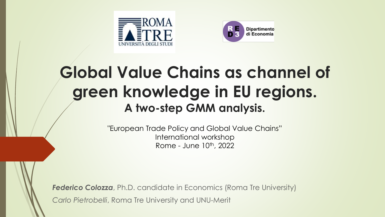



### **Global Value Chains as channel of green knowledge in EU regions. A two-step GMM analysis.**

"European Trade Policy and Global Value Chains" International workshop Rome - June 10th, 2022

**Federico Colozza**, Ph.D. candidate in Economics (Roma Tre University) *Carlo Pietrobelli*, Roma Tre University and UNU-Merit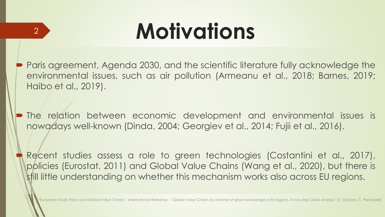# **Motivations**

 $\mathcal{P}$ 

- Paris agreement, Agenda 2030, and the scientific literature fully acknowledge the environmental issues, such as air pollution (Armeanu et al., 2018; Barnes, 2019; Haibo et al., 2019).
- The relation between economic development and environmental issues is nowadays well-known (Dinda, 2004; Georgiev et al., 2014; Fujii et al., 2016).
	- Recent studies assess a role to green technologies (Costantini et al., 2017), policies (Eurostat, 2011) and Global Value Chains (Wang et al., 2020), but there is still little understanding on whether this mechanism works also across EU regions.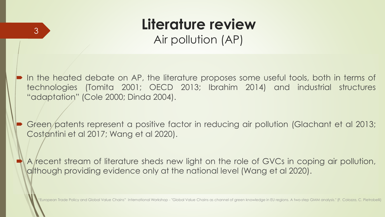# **Literature review**

3

Air pollution (AP)

 In the heated debate on AP, the literature proposes some useful tools, both in terms of technologies (Tomita 2001; OECD 2013; Ibrahim 2014) and industrial structures "adaptation" (Cole 2000; Dinda 2004).

 Green patents represent a positive factor in reducing air pollution (Glachant et al 2013; Costantini et al 2017; Wang et al 2020).

A recent stream of literature sheds new light on the role of GVCs in coping air pollution, although providing evidence only at the national level (Wang et al 2020).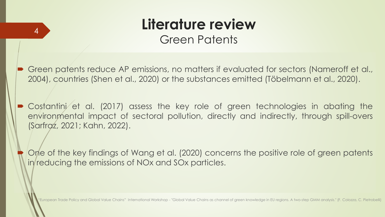# **Literature review**

4

Green Patents

 Green patents reduce AP emissions, no matters if evaluated for sectors (Nameroff et al., 2004), countries (Shen et al., 2020) or the substances emitted (Töbelmann et al., 2020).

• Costantini et al. (2017) assess the key role of green technologies in abating the environmental impact of sectoral pollution, directly and indirectly, through spill-overs (Sarfraz, 2021; Kahn, 2022).

 One of the key findings of Wang et al. (2020) concerns the positive role of green patents in reducing the emissions of NOx and SOx particles.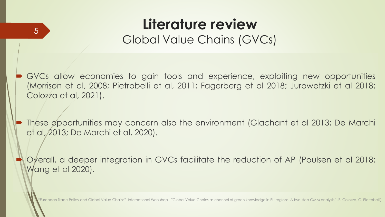# **Literature review**

Global Value Chains (GVCs)

5

 GVCs allow economies to gain tools and experience, exploiting new opportunities (Morrison et al, 2008; Pietrobelli et al, 2011; Fagerberg et al 2018; Jurowetzki et al 2018; Colozza et al, 2021).

 These opportunities may concern also the environment (Glachant et al 2013; De Marchi et al, 2013; De Marchi et al, 2020).

 Overall, a deeper integration in GVCs facilitate the reduction of AP (Poulsen et al 2018; Wang et al 2020).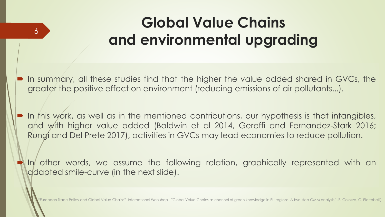### **Global Value Chains and environmental upgrading**

 In summary, all these studies find that the higher the value added shared in GVCs, the greater the positive effect on environment (reducing emissions of air pollutants...).

6

 In this work, as well as in the mentioned contributions, our hypothesis is that intangibles, and with higher value added (Baldwin et al 2014, Gereffi and Fernandez-Stark 2016; Rungi and Del Prete 2017), activities in GVCs may lead economies to reduce pollution.

 In other words, we assume the following relation, graphically represented with an adapted smile-curve (in the next slide).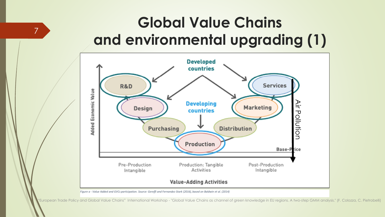#### **Global Value Chains and environmental upgrading (1)**

7

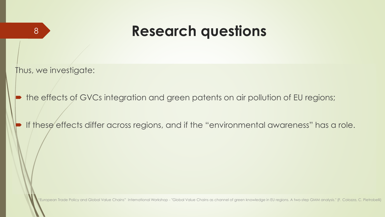#### <sup>8</sup> **Research questions**

Thus, we investigate:

the effects of GVCs integration and green patents on air pollution of EU regions;

If these effects differ across regions, and if the "environmental awareness" has a role.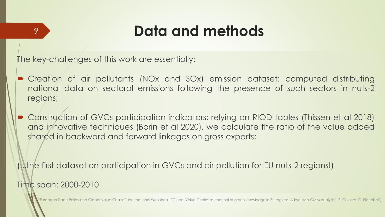The key-challenges of this work are essentially:

- Creation of air pollutants (NOx and SOx) emission dataset: computed distributing national data on sectoral emissions following the presence of such sectors in nuts-2 regions;
- Construction of GVCs participation indicators: relying on RIOD tables (Thissen et al 2018) and innovative techniques (Borin et al 2020), we calculate the ratio of the value added shared in backward and forward linkages on gross exports;

(...the first dataset on participation in GVCs and air pollution for EU nuts-2 regions!) Time span: 2000-2010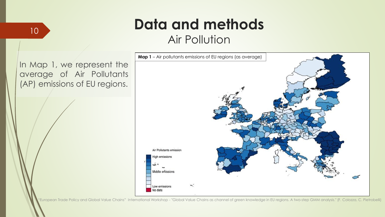Air Pollution

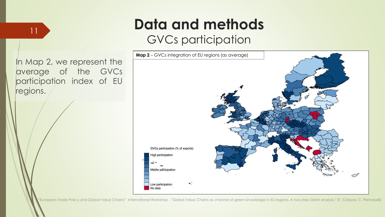#### GVCs participation



In Map 2, we represent the average of the GVCs participation index of EU regions.

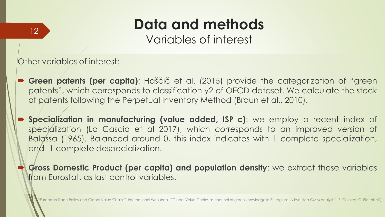Variables of interest

Other variables of interest:

- **Green patents (per capita)**: Haščič et al. (2015) provide the categorization of "green patents", which corresponds to classification y2 of OECD dataset. We calculate the stock of patents following the Perpetual Inventory Method (Braun et al., 2010).
- **Specialization in manufacturing (value added, ISP\_c)**: we employ a recent index of specialization (Lo Cascio et al 2017), which corresponds to an improved version of Balassa (1965). Balanced around 0, this index indicates with 1 complete specialization, and -1 complete despecialization.
- **Gross Domestic Product (per capita) and population density**: we extract these variables from Eurostat, as last control variables.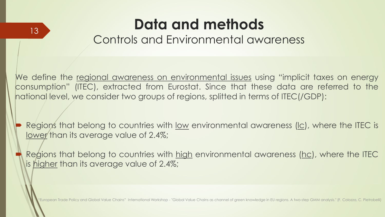Controls and Environmental awareness

We define the regional awareness on environmental issues using "implicit taxes on energy consumption" (ITEC), extracted from Eurostat. Since that these data are referred to the national level, we consider two groups of regions, splitted in terms of ITEC(/GDP):

Regions that belong to countries with <u>low</u> environmental awareness (Ic), where the ITEC is lower than its average value of 2.4%;

Regions that belong to countries with high environmental awareness (hc), where the ITEC is higher than its average value of 2.4%;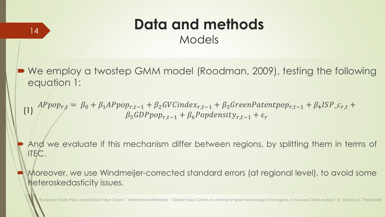Models

■ We employ a twostep GMM model (Roodman, 2009), testing the following equation 1:

 $\textit{APPpop}_{r,t} \Leftarrow \ \beta_0 + \beta_1 \textit{APPopp}_{r,t-1} + \beta_2 \textit{GVC}{}~index_{r,t-1} + \beta_3 \textit{GreenPatent}{}~pop_{r,t-1} + \beta_4 \textit{ISP\_c}_{r,t} + \beta_5 \textit{GreenPatent}{}$  $\beta_5 GDPpop_{r,t-1} + \beta_6 Pop density_{r,t-1} + \varepsilon_r$ (1)

 And we evaluate if this mechanism differ between regions, by splitting them in terms of ITEC.

 Moreover, we use Windmeijer-corrected standard errors (at regional level), to avoid some heteroskedasticity issues.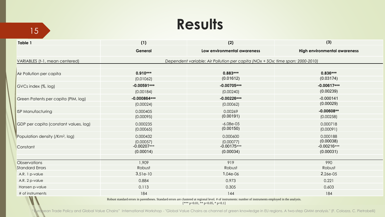# <sup>15</sup> **Results**

| Table 1                                     | (1)                                                                            | (2)                         | (3)                                 |  |  |  |  |  |  |
|---------------------------------------------|--------------------------------------------------------------------------------|-----------------------------|-------------------------------------|--|--|--|--|--|--|
|                                             | General                                                                        | Low environmental awareness | <b>High environmental awareness</b> |  |  |  |  |  |  |
| VARIABLES (t-1, mean centered)              | Dependent variable: Air Pollution per capita (NOx + SOx; time span: 2000-2010) |                             |                                     |  |  |  |  |  |  |
|                                             |                                                                                |                             |                                     |  |  |  |  |  |  |
| Air Pollution per capita                    | $0.910***$                                                                     | $0.883***$<br>(0.01612)     | $0.836***$<br>(0.03174)             |  |  |  |  |  |  |
|                                             | (0.01062)                                                                      |                             |                                     |  |  |  |  |  |  |
| GVCs index (%, log)                         | $-0.00591***$                                                                  | $-0.00705***$               | $-0.00617***$                       |  |  |  |  |  |  |
|                                             | (0.00184)                                                                      | (0.00240)                   | (0.00239)                           |  |  |  |  |  |  |
| Green Patents per capita (PIM, log)         | $-0.000864***$                                                                 | $-0.00226***$               | $-0.000141$                         |  |  |  |  |  |  |
|                                             | (0.00024)                                                                      | (0.00062)                   | (0.00029)                           |  |  |  |  |  |  |
| <b>ISP Manufacturing</b>                    | 0.000405                                                                       | 0.00269                     | $-0.00608**$                        |  |  |  |  |  |  |
|                                             | (0.00095)                                                                      | (0.00191)                   | (0.00258)                           |  |  |  |  |  |  |
| GDP per capita (constant values, log)       | 0.000235                                                                       | $-6.08e-05$                 | 0.000718                            |  |  |  |  |  |  |
|                                             | (0.00065)                                                                      | (0.00150)                   | (0.00091)                           |  |  |  |  |  |  |
| Population density (/Km <sup>2</sup> , log) | 0.000432                                                                       | 0.000600                    | 0.000188                            |  |  |  |  |  |  |
|                                             | (0.00057)                                                                      | (0.00077)                   | (0.00038)                           |  |  |  |  |  |  |
| Constant                                    | $-0.00207***$                                                                  | $-0.00175***$               | $-0.00216***$                       |  |  |  |  |  |  |
|                                             | (0.00014)                                                                      | (0.00034)                   | (0.00031)                           |  |  |  |  |  |  |
|                                             |                                                                                |                             |                                     |  |  |  |  |  |  |
| <b>Observations</b>                         | 1,909                                                                          | 919                         | 990                                 |  |  |  |  |  |  |
| <b>Standard Errors</b>                      | Robust                                                                         | Robust                      | Robust                              |  |  |  |  |  |  |
| A.R. 1 p-value                              | $3.51e-10$                                                                     | $1.04e-06$                  | 2.26e-05                            |  |  |  |  |  |  |
| A.R. 2 p-value                              | 0.884                                                                          | 0.973                       | 0.221                               |  |  |  |  |  |  |
| Hansen p-value                              | 0.113                                                                          | 0.305                       | 0.603                               |  |  |  |  |  |  |
| # of instruments<br>$\blacksquare$          | 184                                                                            | 144                         | 184                                 |  |  |  |  |  |  |

Robust standard errors in parentheses. Standard errors are clustered at regional level. # of instruments: number of instruments employed in the analysis. [\*\*\* p<0.01, \*\* p<0.05, \* p<0.1]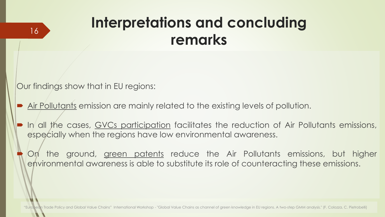#### **Interpretations and concluding remarks**

Our findings show that in EU regions:

16

- Air Pollutants emission are mainly related to the existing levels of pollution.
- In all the cases, GVCs participation facilitates the reduction of Air Pollutants emissions, especially when the regions have low environmental awareness.

On the ground, green patents reduce the Air Pollutants emissions, but higher environmental awareness is able to substitute its role of counteracting these emissions.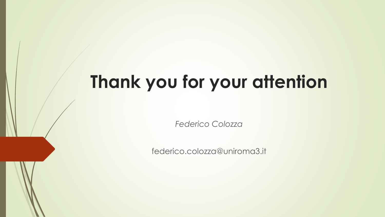# **Thank you for your attention**

*Federico Colozza* 

federico.colozza@uniroma3.it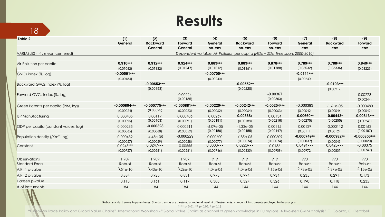#### **Results**

18

| Table 2                                     | (1)                                                                            | (2)<br><b>Backward</b><br>General | (3)<br>Forward<br>General | (4)<br>General<br>no-env | (5)<br><b>Backward</b><br>no-env | (6)<br>Forward<br>no-env | (7)<br>General<br>env    | (8)<br><b>Backward</b><br>env | (9)<br>Forward<br>env   |  |  |
|---------------------------------------------|--------------------------------------------------------------------------------|-----------------------------------|---------------------------|--------------------------|----------------------------------|--------------------------|--------------------------|-------------------------------|-------------------------|--|--|
|                                             | General                                                                        |                                   |                           |                          |                                  |                          |                          |                               |                         |  |  |
|                                             |                                                                                |                                   |                           |                          |                                  |                          |                          |                               |                         |  |  |
| VARIABLES (t-1, mean centered)              | Dependent variable: Air Pollution per capita (NOx + SOx; time span: 2000-2010) |                                   |                           |                          |                                  |                          |                          |                               |                         |  |  |
| Air Pollution per capita                    | $0.910***$                                                                     | $0.912***$                        | $0.924***$                | $0.883***$               | $0.883***$                       | 0.878***                 | $0.789***$               | $0.788***$                    | $0.840***$              |  |  |
|                                             | (0.01062)                                                                      | (0.01132)                         | (0.01247)                 | (0.01612)                | (0.01661)                        | (0.01788)                | (0.03532)                | (0.03336)                     | (0.03223)               |  |  |
| GVCs index (%, log)                         | $-0.00591***$                                                                  |                                   |                           | $-0.00705***$            |                                  |                          | $-0.0111***$             |                               |                         |  |  |
|                                             | (0.00184)                                                                      |                                   |                           | (0.00240)                |                                  |                          | (0.00240)                |                               |                         |  |  |
| Backward GVCs index (%, log)                |                                                                                | $-0.00653***$                     |                           |                          | $-0.00552**$                     |                          |                          | $-0.0103***$                  |                         |  |  |
|                                             |                                                                                | (0.00153)                         |                           |                          | (0.00228)                        |                          |                          | (0.00217)                     |                         |  |  |
| Forward GVCs index (%, log)                 |                                                                                |                                   | 0.00224                   |                          |                                  | $-0.00367$               |                          |                               | 0.00273                 |  |  |
|                                             |                                                                                |                                   | (0.00185)                 |                          |                                  | (0.00303)                |                          |                               | (0.00244)               |  |  |
| Green Patents per capita (PIM, log)         | $-0.000864***$                                                                 | $-0.000775***$                    | $-0.000881***$            | $-0.00226***$            | $-0.00242***$                    | $-0.00254***$            | $-0.000383$              | $-1.61e-05$                   | $-0.000480$             |  |  |
|                                             | (0.00024)                                                                      | (0.00025)                         | (0.00023)                 | (0.00062)                | (0.00064)                        | (0.00063)                | (0.00042)                | (0.00046)                     | (0.00042)               |  |  |
| <b>ISP Manufacturing</b>                    | 0.000405                                                                       | 0.00119                           | 0.000406                  | 0.00269                  | $0.00368*$                       | 0.00134                  | $-0.00660**$             | $-0.00443*$                   | $-0.00813***$           |  |  |
|                                             | (0.00095)                                                                      | (0.00103)                         | (0.00091)                 | (0.00191)                | (0.00188)                        | (0.00216)                | (0.00275)                | (0.00255)                     | (0.00243)               |  |  |
| GDP per capita (constant values, log)       | 0.000235                                                                       | $-0.000328$                       | 0.000511                  | $-6.09e-05$              | $-1.33e-05$                      | 0.00115                  | 0.00129                  | $-0.000112$                   | 0.00162                 |  |  |
|                                             | (0.00065)                                                                      | (0.00068)                         | (0.00059)                 | (0.00150)                | (0.00155)                        | (0.00147)                | (0.00111)                | (0.00124)                     | (0.00107)               |  |  |
| Population density (/Km <sup>2</sup> , log) | 0.000432                                                                       | $-4.45e-05$                       | $-0.000229$               | 0.000600                 | 7.85e-05                         | 0.000609                 | $-0.000749**$            | $-0.000982**$                 | $-0.000853***$          |  |  |
|                                             | (0.00057)                                                                      | (0.00059)                         | (0.00058)                 | (0.00077)<br>$0.0303***$ | (0.00074)<br>$0.0226***$         | (0.00074)                | (0.00037)<br>$0.0491***$ | (0.00043)<br>$0.0425***$      | (0.00029)<br>$-0.00375$ |  |  |
| Constant                                    | $0.0245***$                                                                    | $0.0247***$                       | $-0.00555$                |                          |                                  | 0.0136                   |                          |                               | (0.00747)               |  |  |
|                                             | (0.00727)                                                                      | (0.00561)                         | (0.00561)                 | (0.00946)                | (0.00835)                        | (0.00909)                | (0.00972)                | (0.00801)                     |                         |  |  |
| <b>Observations</b>                         | 1,909                                                                          | 1,909                             | 1,909                     | 919                      | 919                              | 919                      | 990                      | 990                           | 990                     |  |  |
| <b>Standard Errors</b>                      | Robust                                                                         | Robust                            | Robust                    | Robust                   | Robust                           | Robust                   | Robust                   | Robust                        | Robust                  |  |  |
| A.R. 1 p-value                              | $3.51e-10$                                                                     | $3,43e-10$                        | $3.26e-10$                | 1.04e-06                 | $1.04e-06$                       | $1.15e-06$               | 2.73e-05                 | 2.37e-05                      | $2.15e-05$              |  |  |
| A.R. 2 p-value                              | 0.884                                                                          | 0.925                             | 0.831                     | 0.973                    | 0.994                            | 0.934                    | 0.235                    | 0.291                         | 0.173                   |  |  |
| Hansen p-value                              | 0.113                                                                          | 0.161                             | 0.119                     | 0.305                    | 0.327                            | 0.326                    | 0.190                    | 0.118                         | 0.235                   |  |  |
| # of instruments                            | 184                                                                            | 184                               | 184                       | 144                      | 144                              | 144                      | 144                      | 144                           | 144                     |  |  |

Robust standard errors in parentheses. Standard errors are clustered at regional level. # of instruments: number of instruments employed in the analysis.

 $[*** p<0.01, ** p<0.05, * p<0.1]$